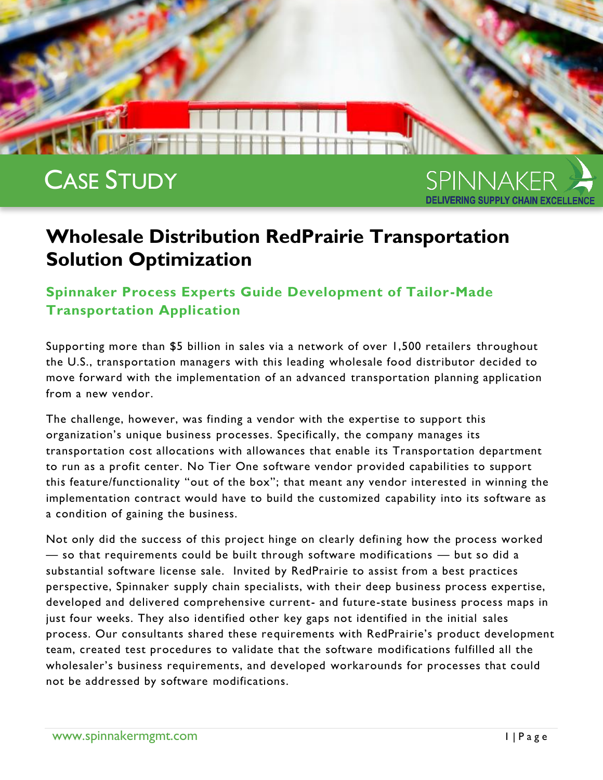



## **Wholesale Distribution RedPrairie Transportation Solution Optimization**

## **Spinnaker Process Experts Guide Development of Tailor-Made Transportation Application**

Supporting more than \$5 billion in sales via a network of over 1,500 retailers throughout the U.S., transportation managers with this leading wholesale food distributor decided to move forward with the implementation of an advanced transportation planning application from a new vendor.

The challenge, however, was finding a vendor with the expertise to support this organization's unique business processes. Specifically, the company manages its transportation cost allocations with allowances that enable its Transportation department to run as a profit center. No Tier One software vendor provided capabilities to support this feature/functionality "out of the box"; that meant any vendor interested in winning the implementation contract would have to build the customized capability into its software as a condition of gaining the business.

Not only did the success of this project hinge on clearly defin ing how the process worked — so that requirements could be built through software modifications — but so did a substantial software license sale. Invited by RedPrairie to assist from a best practices perspective, Spinnaker supply chain specialists, with their deep business process expertise, developed and delivered comprehensive current- and future-state business process maps in just four weeks. They also identified other key gaps not identified in the initial sales process. Our consultants shared these requirements with RedPrairie's product development team, created test procedures to validate that the software modifications fulfilled all the wholesaler's business requirements, and developed workarounds for processes that could not be addressed by software modifications.